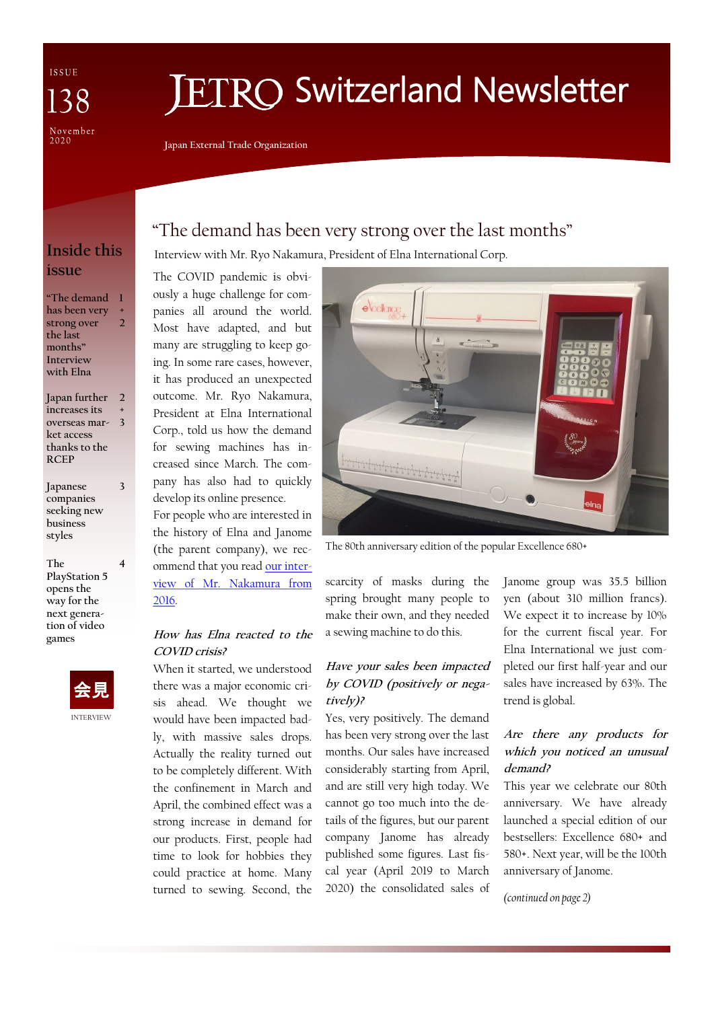ISSUE 38 November<br>2020

# **IETRO Switzerland Newsletter**

**Japan External Trade Organization**

## **Inside this issue**

**"The demand 1 has been very strong over the last months" Interview with Elna + 2**

**Japan further increases its overseas mar-3 ket access thanks to the RCEP 2 +**

**Japanese companies seeking new business styles**

**3**

**4**

**The PlayStation 5 opens the way for the next generation of video games**



## "The demand has been very strong over the last months"

Interview with Mr. Ryo Nakamura, President of Elna International Corp.

The COVID pandemic is obviously a huge challenge for companies all around the world. Most have adapted, and but many are struggling to keep going. In some rare cases, however, it has produced an unexpected outcome. Mr. Ryo Nakamura, President at Elna International Corp., told us how the demand for sewing machines has increased since March. The company has also had to quickly develop its online presence. For people who are interested in the history of Elna and Janome

(the parent company), we recommend that you read [our inter](https://www.jetro.go.jp/ext_images/switzerland/newsletter/index.html/newsletter88.pdf)[view of Mr. Nakamura from](https://www.jetro.go.jp/ext_images/switzerland/newsletter/index.html/newsletter88.pdf)  [2016.](https://www.jetro.go.jp/ext_images/switzerland/newsletter/index.html/newsletter88.pdf)

#### **How has Elna reacted to the COVID crisis?**

When it started, we understood there was a major economic crisis ahead. We thought we would have been impacted badly, with massive sales drops. Actually the reality turned out to be completely different. With the confinement in March and April, the combined effect was a strong increase in demand for our products. First, people had time to look for hobbies they could practice at home. Many turned to sewing. Second, the



The 80th anniversary edition of the popular Excellence 680+

scarcity of masks during the spring brought many people to make their own, and they needed a sewing machine to do this.

#### **Have your sales been impacted by COVID (positively or negatively)?**

Yes, very positively. The demand has been very strong over the last months. Our sales have increased considerably starting from April, and are still very high today. We cannot go too much into the details of the figures, but our parent company Janome has already published some figures. Last fiscal year (April 2019 to March 2020) the consolidated sales of

Janome group was 35.5 billion yen (about 310 million francs). We expect it to increase by 10% for the current fiscal year. For Elna International we just completed our first half-year and our sales have increased by 63%. The trend is global.

#### **Are there any products for which you noticed an unusual demand?**

This year we celebrate our 80th anniversary. We have already launched a special edition of our bestsellers: Excellence 680+ and 580+. Next year, will be the 100th anniversary of Janome.

*(continued on page 2)*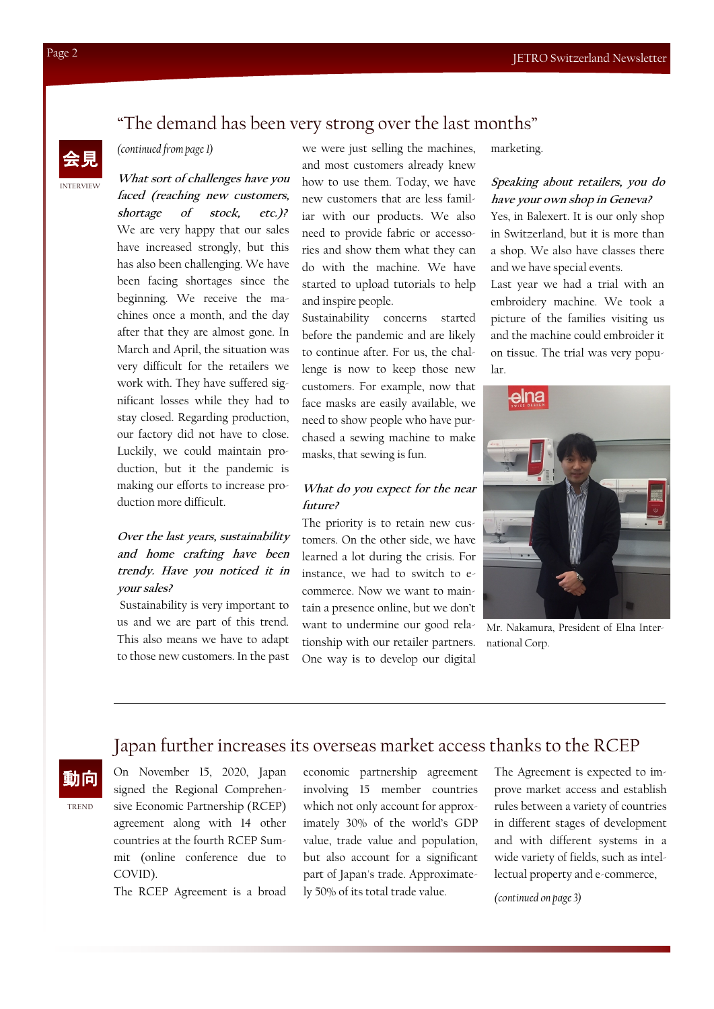## "The demand has been very strong over the last months"

## INTERVIEW 会見

#### *(continued from page 1)*

**What sort of challenges have you faced (reaching new customers, shortage of stock, etc.)?** We are very happy that our sales have increased strongly, but this has also been challenging. We have been facing shortages since the beginning. We receive the machines once a month, and the day after that they are almost gone. In March and April, the situation was very difficult for the retailers we work with. They have suffered significant losses while they had to stay closed. Regarding production, our factory did not have to close. Luckily, we could maintain production, but it the pandemic is making our efforts to increase production more difficult.

### **Over the last years, sustainability and home crafting have been trendy. Have you noticed it in your sales?**

Sustainability is very important to us and we are part of this trend. This also means we have to adapt to those new customers. In the past

we were just selling the machines, and most customers already knew how to use them. Today, we have new customers that are less familiar with our products. We also need to provide fabric or accessories and show them what they can do with the machine. We have started to upload tutorials to help and inspire people.

Sustainability concerns started before the pandemic and are likely to continue after. For us, the challenge is now to keep those new customers. For example, now that face masks are easily available, we need to show people who have purchased a sewing machine to make masks, that sewing is fun.

#### **What do you expect for the near future?**

The priority is to retain new customers. On the other side, we have learned a lot during the crisis. For instance, we had to switch to ecommerce. Now we want to maintain a presence online, but we don't want to undermine our good relationship with our retailer partners. One way is to develop our digital

marketing.

#### **Speaking about retailers, you do have your own shop in Geneva?**

Yes, in Balexert. It is our only shop in Switzerland, but it is more than a shop. We also have classes there and we have special events.

Last year we had a trial with an embroidery machine. We took a picture of the families visiting us and the machine could embroider it on tissue. The trial was very popular.



Mr. Nakamura, President of Elna International Corp.

## Japan further increases its overseas market access thanks to the RCEP

動向

TREND

On November 15, 2020, Japan signed the Regional Comprehensive Economic Partnership (RCEP) agreement along with 14 other countries at the fourth RCEP Summit (online conference due to COVID).

The RCEP Agreement is a broad

economic partnership agreement involving 15 member countries which not only account for approximately 30% of the world's GDP value, trade value and population, but also account for a significant part of Japan's trade. Approximately 50% of its total trade value.

The Agreement is expected to improve market access and establish rules between a variety of countries in different stages of development and with different systems in a wide variety of fields, such as intellectual property and e-commerce,

*(continued on page 3)*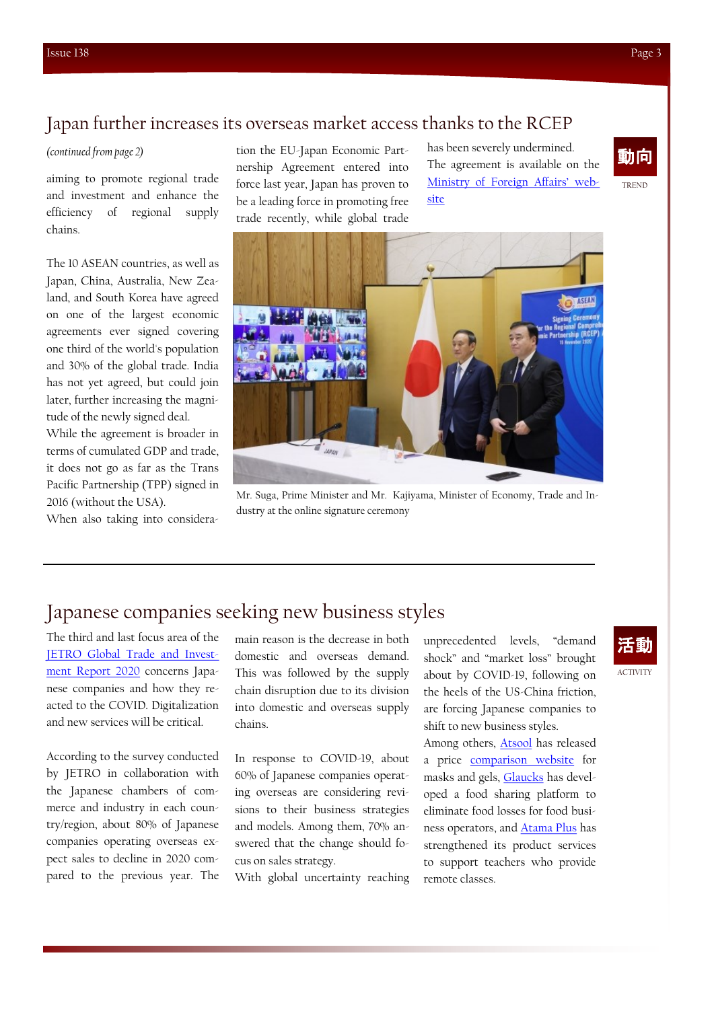## Japan further increases its overseas market access thanks to the RCEP

*(continued from page 2)*

aiming to promote regional trade and investment and enhance the efficiency of regional supply chains.

The 10 ASEAN countries, as well as Japan, China, Australia, New Zealand, and South Korea have agreed on one of the largest economic agreements ever signed covering one third of the world's population and 30% of the global trade. India has not yet agreed, but could join later, further increasing the magnitude of the newly signed deal.

While the agreement is broader in terms of cumulated GDP and trade, it does not go as far as the Trans Pacific Partnership (TPP) signed in 2016 (without the USA).

When also taking into considera-

tion the EU-Japan Economic Partnership Agreement entered into force last year, Japan has proven to be a leading force in promoting free trade recently, while global trade

has been severely undermined. The agreement is available on the [Ministry of Foreign Affairs' web](https://www.mofa.go.jp/ecm/ep/page24e_000272.html)[site](https://www.mofa.go.jp/ecm/ep/page24e_000272.html)

![](_page_2_Picture_9.jpeg)

![](_page_2_Picture_10.jpeg)

Mr. Suga, Prime Minister and Mr. Kajiyama, Minister of Economy, Trade and Industry at the online signature ceremony

## Japanese companies seeking new business styles

The third and last focus area of the [JETRO Global Trade and Invest](https://www.jetro.go.jp/en/news/releases/2020/b79a1ae9c1af7f8d.html)[ment Report 2020](https://www.jetro.go.jp/en/news/releases/2020/b79a1ae9c1af7f8d.html) concerns Japanese companies and how they reacted to the COVID. Digitalization and new services will be critical.

According to the survey conducted by JETRO in collaboration with the Japanese chambers of commerce and industry in each country/region, about 80% of Japanese companies operating overseas expect sales to decline in 2020 compared to the previous year. The

main reason is the decrease in both domestic and overseas demand. This was followed by the supply chain disruption due to its division into domestic and overseas supply chains.

In response to COVID-19, about 60% of Japanese companies operating overseas are considering revisions to their business strategies and models. Among them, 70% answered that the change should focus on sales strategy.

With global uncertainty reaching

unprecedented levels, "demand shock" and "market loss" brought about by COVID-19, following on the heels of the US-China friction, are forcing Japanese companies to shift to new business styles.

Among others, [Atsool](https://www.astool.co.jp/) has released a price [comparison website](https://zaikosokuho.com/) for masks and gels, [Glaucks](https://www.kuradashi.jp/) has developed a food sharing platform to eliminate food losses for food business operators, and [Atama Plus](https://www.atama.plus/) has strengthened its product services to support teachers who provide remote classes.

ACTIVITY